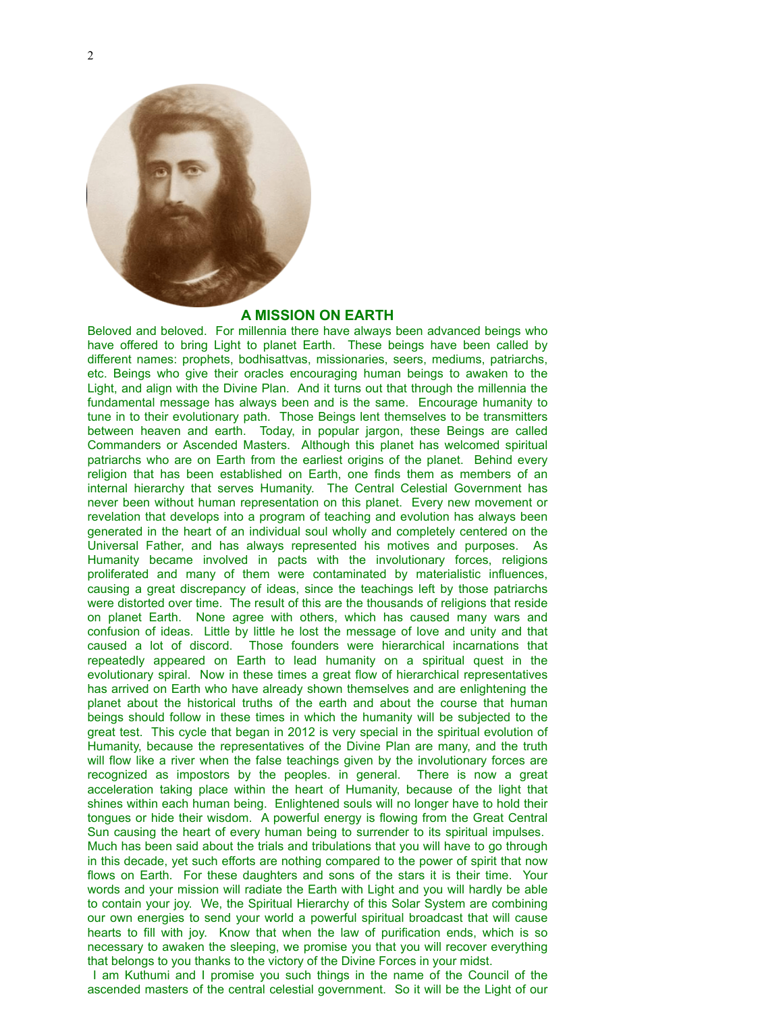

## **A MISSION ON EARTH**

Beloved and beloved. For millennia there have always been advanced beings who have offered to bring Light to planet Earth. These beings have been called by different names: prophets, bodhisattvas, missionaries, seers, mediums, patriarchs, etc. Beings who give their oracles encouraging human beings to awaken to the Light, and align with the Divine Plan. And it turns out that through the millennia the fundamental message has always been and is the same. Encourage humanity to tune in to their evolutionary path. Those Beings lent themselves to be transmitters between heaven and earth. Today, in popular jargon, these Beings are called Commanders or Ascended Masters. Although this planet has welcomed spiritual patriarchs who are on Earth from the earliest origins of the planet. Behind every religion that has been established on Earth, one finds them as members of an internal hierarchy that serves Humanity. The Central Celestial Government has never been without human representation on this planet. Every new movement or revelation that develops into a program of teaching and evolution has always been generated in the heart of an individual soul wholly and completely centered on the Universal Father, and has always represented his motives and purposes. As Humanity became involved in pacts with the involutionary forces, religions proliferated and many of them were contaminated by materialistic influences, causing a great discrepancy of ideas, since the teachings left by those patriarchs were distorted over time. The result of this are the thousands of religions that reside on planet Earth. None agree with others, which has caused many wars and confusion of ideas. Little by little he lost the message of love and unity and that caused a lot of discord. Those founders were hierarchical incarnations that repeatedly appeared on Earth to lead humanity on a spiritual quest in the evolutionary spiral. Now in these times a great flow of hierarchical representatives has arrived on Earth who have already shown themselves and are enlightening the planet about the historical truths of the earth and about the course that human beings should follow in these times in which the humanity will be subjected to the great test. This cycle that began in 2012 is very special in the spiritual evolution of Humanity, because the representatives of the Divine Plan are many, and the truth will flow like a river when the false teachings given by the involutionary forces are recognized as impostors by the peoples. in general. There is now a great acceleration taking place within the heart of Humanity, because of the light that shines within each human being. Enlightened souls will no longer have to hold their tongues or hide their wisdom. A powerful energy is flowing from the Great Central Sun causing the heart of every human being to surrender to its spiritual impulses. Much has been said about the trials and tribulations that you will have to go through in this decade, yet such efforts are nothing compared to the power of spirit that now flows on Earth. For these daughters and sons of the stars it is their time. Your words and your mission will radiate the Earth with Light and you will hardly be able to contain your joy. We, the Spiritual Hierarchy of this Solar System are combining our own energies to send your world a powerful spiritual broadcast that will cause hearts to fill with joy. Know that when the law of purification ends, which is so necessary to awaken the sleeping, we promise you that you will recover everything that belongs to you thanks to the victory of the Divine Forces in your midst.

 I am Kuthumi and I promise you such things in the name of the Council of the ascended masters of the central celestial government. So it will be the Light of our